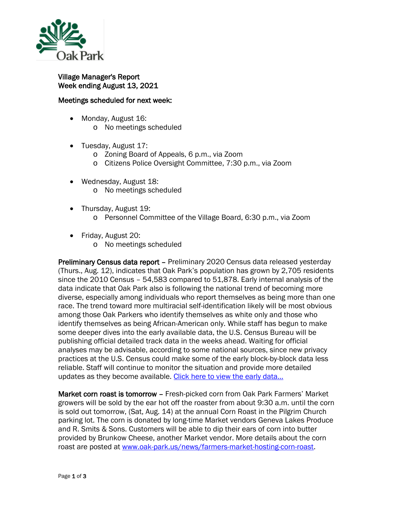

## Village Manager's Report Week ending August 13, 2021

## Meetings scheduled for next week:

- Monday, August 16:
	- o No meetings scheduled
- Tuesday, August 17:
	- o Zoning Board of Appeals, 6 p.m., via Zoom
	- o Citizens Police Oversight Committee, 7:30 p.m., via Zoom
- Wednesday, August 18: o No meetings scheduled
- Thursday, August 19:
	- o Personnel Committee of the Village Board, 6:30 p.m., via Zoom
- Friday, August 20:
	- o No meetings scheduled

Preliminary Census data report – Preliminary 2020 Census data released yesterday (Thurs., Aug. 12), indicates that Oak Park's population has grown by 2,705 residents since the 2010 Census – 54,583 compared to 51,878. Early internal analysis of the data indicate that Oak Park also is following the national trend of becoming more diverse, especially among individuals who report themselves as being more than one race. The trend toward more multiracial self-identification likely will be most obvious among those Oak Parkers who identify themselves as white only and those who identify themselves as being African-American only. While staff has begun to make some deeper dives into the early available data, the U.S. Census Bureau will be publishing official detailed track data in the weeks ahead. Waiting for official analyses may be advisable, according to some national sources, since new privacy practices at the U.S. Census could make some of the early block-by-block data less reliable. Staff will continue to monitor the situation and provide more detailed updates as they become available. Click here to view the early data...

Market corn roast is tomorrow – Fresh-picked corn from Oak Park Farmers' Market growers will be sold by the ear hot off the roaster from about 9:30 a.m. until the corn is sold out tomorrow, (Sat, Aug. 14) at the annual Corn Roast in the Pilgrim Church parking lot. The corn is donated by long-time Market vendors Geneva Lakes Produce and R. Smits & Sons. Customers will be able to dip their ears of corn into butter provided by Brunkow Cheese, another Market vendor. More details about the corn roast are posted at [www.oak-park.us/news/farmers-market-hosting-corn-roast.](http://www.oak-park.us/news/farmers-market-hosting-corn-roast)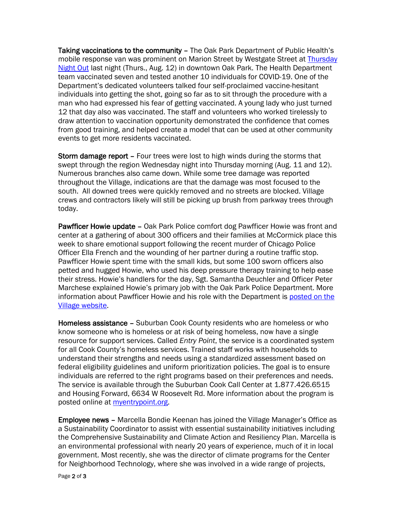Taking vaccinations to the community – The Oak Park Department of Public Health's mobile response van was prominent on Marion Street by Westgate Street at [Thursday](https://thursdaynightout.com/)  [Night Out](https://thursdaynightout.com/) last night (Thurs., Aug. 12) in downtown Oak Park. The Health Department team vaccinated seven and tested another 10 individuals for COVID-19. One of the Department's dedicated volunteers talked four self-proclaimed vaccine-hesitant individuals into getting the shot, going so far as to sit through the procedure with a man who had expressed his fear of getting vaccinated. A young lady who just turned 12 that day also was vaccinated. The staff and volunteers who worked tirelessly to draw attention to vaccination opportunity demonstrated the confidence that comes from good training, and helped create a model that can be used at other community events to get more residents vaccinated.

Storm damage report – Four trees were lost to high winds during the storms that swept through the region Wednesday night into Thursday morning (Aug. 11 and 12). Numerous branches also came down. While some tree damage was reported throughout the Village, indications are that the damage was most focused to the south. All downed trees were quickly removed and no streets are blocked. Village crews and contractors likely will still be picking up brush from parkway trees through today.

Pawfficer Howie update – Oak Park Police comfort dog Pawfficer Howie was front and center at a gathering of about 300 officers and their families at McCormick place this week to share emotional support following the recent murder of Chicago Police Officer Ella French and the wounding of her partner during a routine traffic stop. Pawfficer Howie spent time with the small kids, but some 100 sworn officers also petted and hugged Howie, who used his deep pressure therapy training to help ease their stress. Howie's handlers for the day, Sgt. Samantha Deuchler and Officer Peter Marchese explained Howie's primary job with the Oak Park Police Department. More information about Pawfficer Howie and his role with the Department is [posted on the](https://www.oak-park.us/news/oak-park-police-department-adds-community-service-dog-its-ranks)  [Village website.](https://www.oak-park.us/news/oak-park-police-department-adds-community-service-dog-its-ranks)

Homeless assistance – Suburban Cook County residents who are homeless or who know someone who is homeless or at risk of being homeless, now have a single resource for support services. Called *Entry Point*, the service is a coordinated system for all Cook County's homeless services. Trained staff works with households to understand their strengths and needs using a standardized assessment based on federal eligibility guidelines and uniform prioritization policies. The goal is to ensure individuals are referred to the right programs based on their preferences and needs. The service is available through the Suburban Cook Call Center at 1.877.426.6515 and Housing Forward, 6634 W Roosevelt Rd. More information about the program is posted online at [myentrypoint.org.](http://myentrypoint.org/)

Employee news – Marcella Bondie Keenan has joined the Village Manager's Office as a Sustainability Coordinator to assist with essential sustainability initiatives including the Comprehensive Sustainability and Climate Action and Resiliency Plan. Marcella is an environmental professional with nearly 20 years of experience, much of it in local government. Most recently, she was the director of climate programs for the Center for Neighborhood Technology, where she was involved in a wide range of projects,